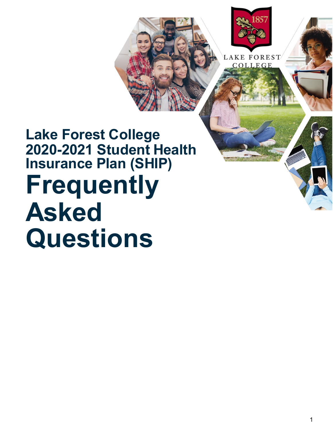

**LAKE FOREST** COLLEGE

# **Lake Forest College 2020-2021 Student Health Insurance Plan (SHIP) Frequently Asked Questions**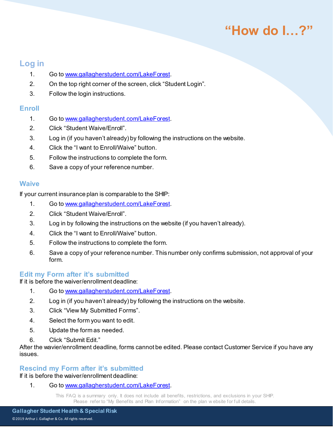### **Log in**

- 1. Go to [www.gallagherstudent.com/LakeForest](http://www.gallagherstudent.com/LakeForest).
- 2. On the top right corner of the screen, click "Student Login".
- 3. Follow the login instructions.

#### **Enroll**

- 1. Go to [www.gallagherstudent.com/LakeForest](http://www.gallagherstudent.com/LakeForest).
- 2. Click "Student Waive/Enroll".
- 3. Log in (if you haven't already) by following the instructions on the website.
- 4. Click the "I want to Enroll/Waive" button.
- 5. Follow the instructions to complete the form.
- 6. Save a copy of your reference number.

#### **Waive**

If your current insurance plan is comparable to the SHIP:

- 1. Go to [www.gallagherstudent.com/LakeForest](http://www.gallagherstudent.com/LakeForest).
- 2. Click "Student Waive/Enroll".
- 3. Log in by following the instructions on the website (if you haven't already).
- 4. Click the "I want to Enroll/Waive" button.
- 5. Follow the instructions to complete the form.
- 6. Save a copy of your reference number. This number only confirms submission, not approval of your form.

#### **Edit my Form after it's submitted**

If it is before the waiver/enrollment deadline:

- 1. Go to [www.gallagherstudent.com/LakeForest](http://www.gallagherstudent.com/LakeForest).
- 2. Log in (if you haven't already) by following the instructions on the website.
- 3. Click "View My Submitted Forms".
- 4. Select the form you want to edit.
- 5. Update the form as needed.
- 6. Click "Submit Edit."

After the wavier/enrollment deadline, forms cannot be edited. Please contact Customer Service if you have any issues.

#### **Rescind my Form after it's submitted**

If it is before the waiver/enrollment deadline:

1. Go to [www.gallagherstudent.com/LakeForest](http://www.gallagherstudent.com/LakeForest).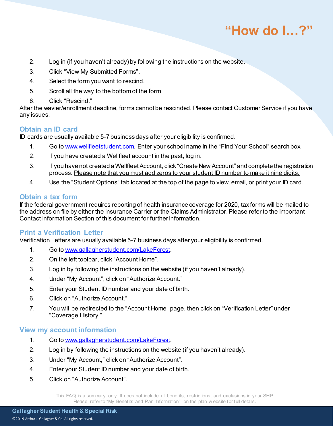- 2. Log in (if you haven't already) by following the instructions on the website.
- 3. Click "View My Submitted Forms".
- 4. Select the form you want to rescind.
- 5. Scroll all the way to the bottom of the form
- 6. Click "Rescind."

After the wavier/enrollment deadline, forms cannot be rescinded. Please contact Customer Service if you have any issues.

#### **Obtain an ID card**

ID cards are usually available 5-7 business days after your eligibility is confirmed.

- 1. Go to [www.wellfleetstudent.com.](http://www.wellfleetstudent.com/) Enter your school name in the "Find Your School" search box.
- 2. If you have created a Wellfleet account in the past, log in.
- 3. If you have not created a Wellfleet Account, click "Create New Account" and complete the registration process. Please note that you must add zeros to your student ID number to make it nine digits.
- 4. Use the "Student Options" tab located at the top of the page to view, email, or print your ID card.

#### **Obtain a tax form**

If the federal government requires reporting of health insurance coverage for 2020, tax forms will be mailed to the address on file by either the Insurance Carrier or the Claims Administrator. Please refer to the Important Contact Information Section of this document for further information.

#### **Print a Verification Letter**

Verification Letters are usually available 5-7 business days after your eligibility is confirmed.

- 1. Go to [www.gallagherstudent.com/LakeForest](http://www.gallagherstudent.com/LakeForest).
- 2. On the left toolbar, click "Account Home".
- 3. Log in by following the instructions on the website (if you haven't already).
- 4. Under "My Account", click on "Authorize Account."
- 5. Enter your Student ID number and your date of birth.
- 6. Click on "Authorize Account."
- 7. You will be redirected to the "Account Home" page, then click on "Verification Letter" under "Coverage History."

#### **View my account information**

- 1. Go to [www.gallagherstudent.com/LakeForest](http://www.gallagherstudent.com/LakeForest).
- 2. Log in by following the instructions on the website (if you haven't already).
- 3. Under "My Account," click on "Authorize Account".
- 4. Enter your Student ID number and your date of birth.
- 5. Click on "Authorize Account".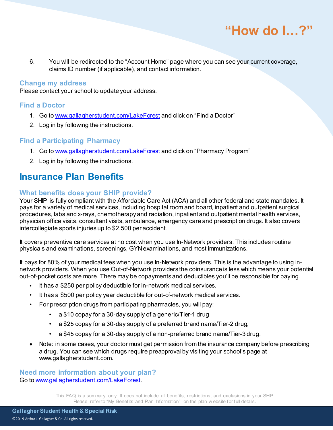

6. You will be redirected to the "Account Home" page where you can see your current coverage, claims ID number (if applicable), and contact information.

#### **Change my address**

Please contact your school to update your address.

#### **Find a Doctor**

- 1. Go to [www.gallagherstudent.com/LakeForest](http://www.gallagherstudent.com/LakeForest) and click on "Find a Doctor"
- 2. Log in by following the instructions.

#### **Find a Participating Pharmacy**

- 1. Go to [www.gallagherstudent.com/LakeForest](http://www.gallagherstudent.com/LakeForest) and click on "Pharmacy Program"
- 2. Log in by following the instructions.

### **Insurance Plan Benefits**

#### **What benefits does your SHIP provide?**

Your SHIP is fully compliant with the Affordable Care Act (ACA) and all other federal and state mandates. It pays for a variety of medical services, including hospital room and board, inpatient and outpatient surgical procedures, labs and x-rays, chemotherapy and radiation, inpatient and outpatient mental health services, physician office visits, consultant visits, ambulance, emergency care and prescription drugs. It also covers intercollegiate sports injuries up to \$2,500 per accident.

It covers preventive care services at no cost when you use In-Network providers. This includes routine physicals and examinations, screenings, GYN examinations, and most immunizations.

It pays for 80% of your medical fees when you use In-Network providers. This is the advantage to using innetwork providers. When you use Out-of-Network providers the coinsurance is less which means your potential out-of-pocket costs are more. There may be copayments and deductibles you'll be responsible for paying.

- It has a \$250 per policy deductible for in-network medical services.
- It has a \$500 per policy year deductible for out-of-network medical services.
- For prescription drugs from participating pharmacies, you will pay:
	- a \$10 copay for a 30-day supply of a generic/Tier-1 drug
	- a \$25 copay for a 30-day supply of a preferred brand name/Tier-2 drug,
	- a \$45 copay for a 30-day supply of a non-preferred brand name/Tier-3 drug.
- Note: in some cases, your doctor must get permission from the insurance company before prescribing a drug. You can see which drugs require preapproval by visiting your school's page at www.gallagherstudent.com.

**Need more information about your plan?** Go to [www.gallagherstudent.com/LakeForest](http://www.gallagherstudent.com/LakeForest).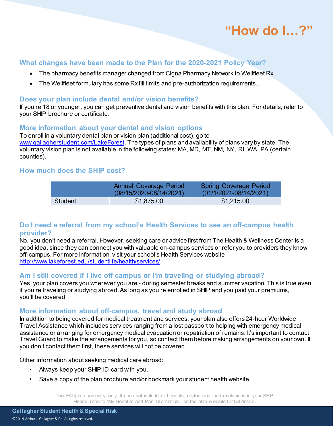#### **What changes have been made to the Plan for the 2020-2021 Policy Year?**

- The pharmacy benefits manager changed from Cigna Pharmacy Network to Wellfleet Rx.
- The Wellfleet formulary has some Rx fill limits and pre-authorization requirements...

#### **Does your plan include dental and/or vision benefits?**

If you're 18 or younger, you can get preventive dental and vision benefits with this plan. For details, refer to your SHIP brochure or certificate.

#### **More information about your dental and vision options**

To enroll in a voluntary dental plan or vision plan (additional cost), go to [www.gallagherstudent.com/LakeForest](http://www.gallagherstudent.com/LakeForest). The types of plans and availability of plans vary by state. The voluntary vision plan is not available in the following states: MA, MD, MT, NM, NY, RI, WA, PA (certain counties).

#### **How much does the SHIP cost?**

|                | Annual Coverage Period<br>$(08/15/2020 - 08/14/2021)$ | <b>Spring Coverage Period</b><br>$(01/1/2021 - 08/14/2021)$ |
|----------------|-------------------------------------------------------|-------------------------------------------------------------|
| <b>Student</b> | \$1,875.00                                            | \$1,215.00                                                  |

#### **Do I need a referral from my school's Health Services to see an off-campus health provider?**

No, you don't need a referral. However, seeking care or advice first from The Health & Wellness Center is a good idea, since they can connect you with valuable on-campus services or refer you to providers they know off-campus. For more information, visit your school's Health Services website <http://www.lakeforest.edu/studentlife/health/services/>

#### **Am I still covered if I live off campus or I'm traveling or studying abroad?**

Yes, your plan covers you wherever you are - during semester breaks and summer vacation. This is true even if you're traveling or studying abroad. As long as you're enrolled in SHIP and you paid your premiums, you'll be covered.

#### **More information about off-campus, travel and study abroad**

In addition to being covered for medical treatment and services, your plan also offers 24-hour Worldwide Travel Assistance which includes services ranging from a lost passport to helping with emergency medical assistance or arranging for emergency medical evacuation or repatriation of remains. It's important to contact Travel Guard to make the arrangements for you, so contact them before making arrangements on your own. If you don't contact them first, these services will not be covered.

Other information about seeking medical care abroad:

- Always keep your SHIP ID card with you.
- Save a copy of the plan brochure and/or bookmark your student health website.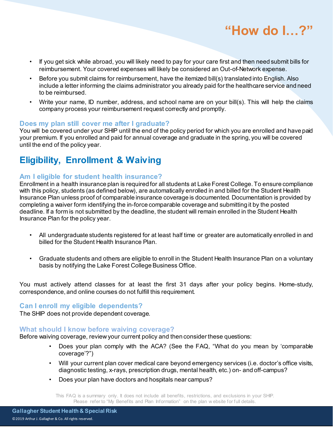

- If you get sick while abroad, you will likely need to pay for your care first and then need submit bills for reimbursement. Your covered expenses will likely be considered an Out-of-Network expense.
- Before you submit claims for reimbursement, have the itemized bill(s) translated into English. Also include a letter informing the claims administrator you already paid for the healthcare service and need to be reimbursed.
- Write your name, ID number, address, and school name are on your bill(s). This will help the claims company process your reimbursement request correctly and promptly.

#### **Does my plan still cover me after I graduate?**

You will be covered under your SHIP until the end of the policy period for which you are enrolled and have paid your premium. If you enrolled and paid for annual coverage and graduate in the spring, you will be covered until the end of the policy year.

### **Eligibility, Enrollment & Waiving**

#### **Am I eligible for student health insurance?**

Enrollment in a health insurance plan is required for all students at Lake Forest College. To ensure compliance with this policy, students (as defined below), are automatically enrolled in and billed for the Student Health Insurance Plan unless proof of comparable insurance coverage is documented. Documentation is provided by completing a waiver form identifying the in-force comparable coverage and submitting it by the posted deadline. If a form is not submitted by the deadline, the student will remain enrolled in the Student Health Insurance Plan for the policy year.

- All undergraduate students registered for at least half time or greater are automatically enrolled in and billed for the Student Health Insurance Plan.
- Graduate students and others are eligible to enroll in the Student Health Insurance Plan on a voluntary basis by notifying the Lake Forest College Business Office.

You must actively attend classes for at least the first 31 days after your policy begins. Home-study, correspondence, and online courses do not fulfill this requirement.

#### **Can I enroll my eligible dependents?**

The SHIP does not provide dependent coverage.

#### **What should I know before waiving coverage?**

Before waiving coverage, review your current policy and then consider these questions:

- Does your plan comply with the ACA? (See the FAQ, "What do you mean by 'comparable coverage'?")
- Will your current plan cover medical care beyond emergency services (i.e. doctor's office visits, diagnostic testing, x-rays, prescription drugs, mental health, etc.) on- and off-campus?
- Does your plan have doctors and hospitals near campus?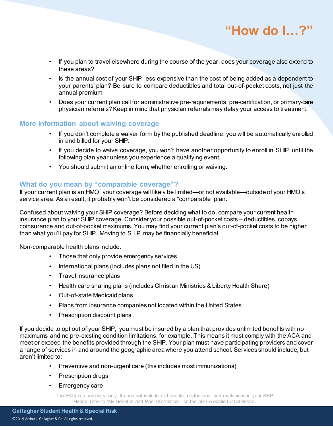- If you plan to travel elsewhere during the course of the year, does your coverage also extend to these areas?
- Is the annual cost of your SHIP less expensive than the cost of being added as a dependent to your parents' plan? Be sure to compare deductibles and total out-of-pocket costs, not just the annual premium.
- Does your current plan call for administrative pre-requirements, pre-certification, or primary-care physician referrals? Keep in mind that physician referrals may delay your access to treatment.

#### **More information about waiving coverage**

- If you don't complete a waiver form by the published deadline, you will be automatically enrolled in and billed for your SHIP.
- If you decide to waive coverage, you won't have another opportunity to enroll in SHIP until the following plan year unless you experience a qualifying event.
- You should submit an online form, whether enrolling or waiving.

#### **What do you mean by "comparable coverage"?**

If your current plan is an HMO, your coverage will likely be limited—or not available—outside of your HMO's service area. As a result, it probably won't be considered a "comparable" plan.

Confused about waiving your SHIP coverage? Before deciding what to do, compare your current health insurance plan to your SHIP coverage. Consider your possible out-of-pocket costs – deductibles, copays, coinsurance and out-of-pocket maximums. You may find your current plan's out-of-pocket costs to be higher than what you'll pay for SHIP. Moving to SHIP may be financially beneficial.

Non-comparable health plans include:

- Those that only provide emergency services
- International plans (includes plans not filed in the US)
- Travel insurance plans
- Health care sharing plans (includes Christian Ministries & Liberty Health Share)
- Out-of-state Medicaid plans
- Plans from insurance companies not located within the United States
- Prescription discount plans

If you decide to opt out of your SHIP, you must be insured by a plan that provides unlimited benefits with no maximums and no pre-existing condition limitations, for example. This means it must comply with the ACA and meet or exceed the benefits provided through the SHIP. Your plan must have participating providers and cover a range of services in and around the geographic area where you attend school. Services should include, but aren't limited to:

- Preventive and non-urgent care (this includes most immunizations)
- Prescription drugs
- Emergency care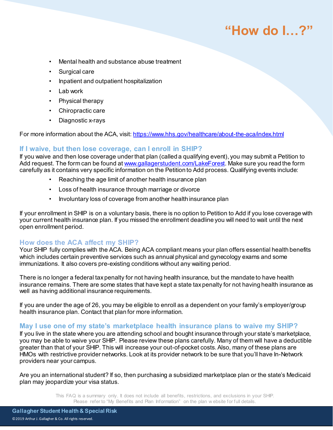- Mental health and substance abuse treatment
- Surgical care
- Inpatient and outpatient hospitalization
- Lab work
- Physical therapy
- Chiropractic care
- Diagnostic x-rays

For more information about the ACA, visit[: https://www.hhs.gov/healthcare/about-the-aca/index.html](https://www.hhs.gov/healthcare/about-the-aca/index.html)

#### **If I waive, but then lose coverage, can I enroll in SHIP?**

If you waive and then lose coverage under that plan (called a qualifying event), you may submit a Petition to Add request. The form can be found a[t www.gallagerstudent.com/](http://www.gallagerstudent.com/)LakeForest. Make sure you read the form carefully as it contains very specific information on the Petition to Add process. Qualifying events include:

- Reaching the age limit of another health insurance plan
- Loss of health insurance through marriage or divorce
- Involuntary loss of coverage from another health insurance plan

If your enrollment in SHIP is on a voluntary basis, there is no option to Petition to Add if you lose coverage with your current health insurance plan. If you missed the enrollment deadline you will need to wait until the next open enrollment period.

#### **How does the ACA affect my SHIP?**

Your SHIP fully complies with the ACA. Being ACA compliant means your plan offers essential health benefits which includes certain preventive services such as annual physical and gynecology exams and some immunizations. It also covers pre-existing conditions without any waiting period.

There is no longer a federal tax penalty for not having health insurance, but the mandate to have health insurance remains. There are some states that have kept a state tax penalty for not having health insurance as well as having additional insurance requirements.

If you are under the age of 26, you may be eligible to enroll as a dependent on your family's employer/group health insurance plan. Contact that plan for more information.

#### **May I use one of my state's marketplace health insurance plans to waive my SHIP?**

If you live in the state where you are attending school and bought insurance through your state's marketplace, you may be able to waive your SHIP. Please review these plans carefully. Many of them will have a deductible greater than that of your SHIP. This will increase your out-of-pocket costs. Also, many of these plans are HMOs with restrictive provider networks. Look at its provider network to be sure that you'll have In-Network providers near your campus.

Are you an international student? If so, then purchasing a subsidized marketplace plan or the state's Medicaid plan may jeopardize your visa status.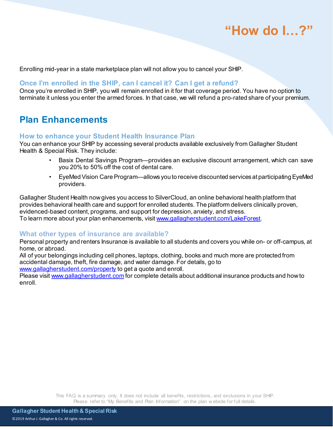Enrolling mid-year in a state marketplace plan will not allow you to cancel your SHIP.

#### **Once I'm enrolled in the SHIP, can I cancel it? Can I get a refund?**

Once you're enrolled in SHIP, you will remain enrolled in it for that coverage period. You have no option to terminate it unless you enter the armed forces. In that case, we will refund a pro-rated share of your premium.

### **Plan Enhancements**

#### **How to enhance your Student Health Insurance Plan**

You can enhance your SHIP by accessing several products available exclusively from Gallagher Student Health & Special Risk. They include:

- Basix Dental Savings Program—provides an exclusive discount arrangement, which can save you 20% to 50% off the cost of dental care.
- EyeMed Vision Care Program—allows you to receive discounted services at participating EyeMed providers.

Gallagher Student Health now gives you access to SilverCloud, an online behavioral health platform that provides behavioral health care and support for enrolled students. The platform delivers clinically proven, evidenced-based content, programs, and support for depression, anxiety, and stress. To learn more about your plan enhancements, visi[t www.gallagherstudent.com/](http://www.gallagherstudent.com/)LakeForest.

#### **What other types of insurance are available?**

Personal property and renters Insurance is available to all students and covers you while on- or off-campus, at home, or abroad.

All of your belongings including cell phones, laptops, clothing, books and much more are protected from accidental damage, theft, fire damage, and water damage. For details, go to

[www.gallagherstudent.com/property](http://www.gallagherstudent.com/property) to get a quote and enroll.

Please visit [www.gallagherstudent.com](http://www.gallagherstudent.com/) for complete details about additional insurance products and how to enroll.